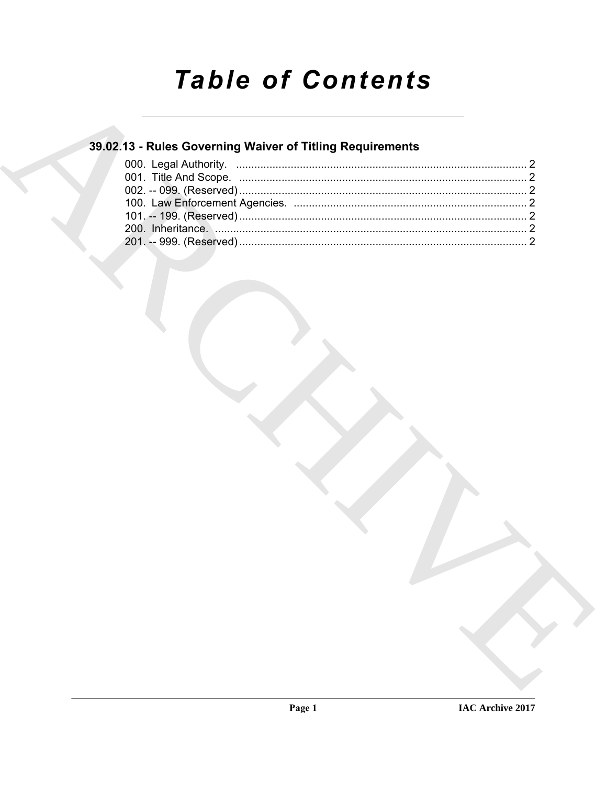# **Table of Contents**

### 39.02.13 - Rules Governing Waiver of Titling Requirements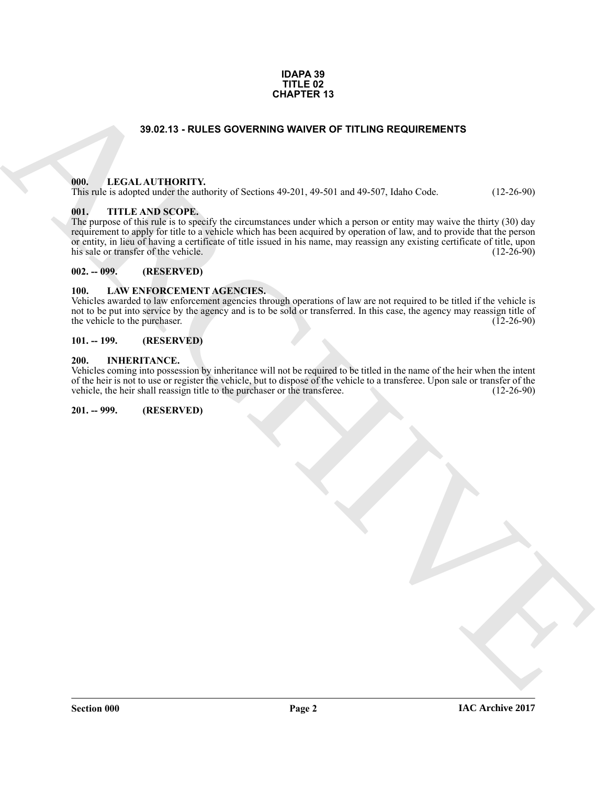#### **IDAPA 39 TITLE 02 CHAPTER 13**

#### **39.02.13 - RULES GOVERNING WAIVER OF TITLING REQUIREMENTS**

#### <span id="page-1-1"></span><span id="page-1-0"></span>**000. LEGAL AUTHORITY.**

This rule is adopted under the authority of Sections 49-201, 49-501 and 49-507, Idaho Code. (12-26-90)

#### <span id="page-1-2"></span>**001. TITLE AND SCOPE.**

**SHOZ: A NULLES GOVERNING WAVER OF TITLING REQUIREMENTS**<br>
(III), LEGAL ATTHORITY,<br>
1980-13: A NURSE COPE (and the 2011, 40-591) and 49-507, Idaho Useks (112-70-99)<br>
(III), TITLE ANSISCOPE,<br>
(III), TITLE ANSISCOPE,<br>
(III), The purpose of this rule is to specify the circumstances under which a person or entity may waive the thirty (30) day requirement to apply for title to a vehicle which has been acquired by operation of law, and to provide that the person or entity, in lieu of having a certificate of title issued in his name, may reassign any existing certificate of title, upon his sale or transfer of the vehicle. (12-26-90) his sale or transfer of the vehicle.

#### <span id="page-1-3"></span>**002. -- 099. (RESERVED)**

#### <span id="page-1-9"></span><span id="page-1-4"></span>**100. LAW ENFORCEMENT AGENCIES.**

Vehicles awarded to law enforcement agencies through operations of law are not required to be titled if the vehicle is not to be put into service by the agency and is to be sold or transferred. In this case, the agency may reassign title of the vehicle to the purchaser. (12-26-90) the vehicle to the purchaser.

#### <span id="page-1-5"></span>**101. -- 199. (RESERVED)**

#### <span id="page-1-8"></span><span id="page-1-6"></span>**200. INHERITANCE.**

Vehicles coming into possession by inheritance will not be required to be titled in the name of the heir when the intent of the heir is not to use or register the vehicle, but to dispose of the vehicle to a transferee. Upon sale or transfer of the vehicle, the heir shall reassign title to the purchaser or the transferee. (12-26-90) vehicle, the heir shall reassign title to the purchaser or the transferee.

#### <span id="page-1-7"></span>**201. -- 999. (RESERVED)**